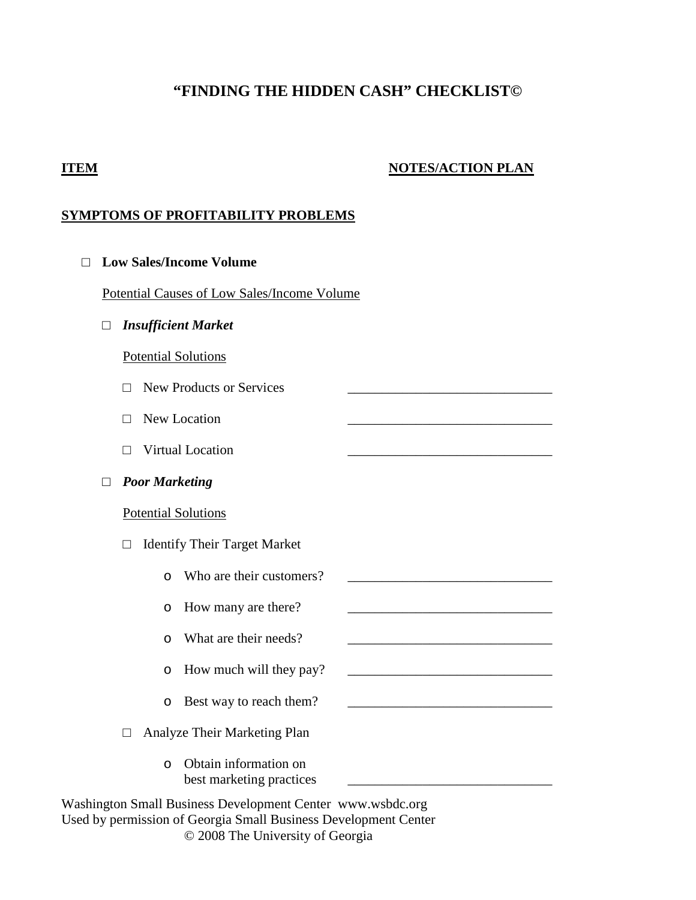# **"FINDING THE HIDDEN CASH" CHECKLIST©**

### **ITEM NOTES/ACTION PLAN**

# **SYMPTOMS OF PROFITABILITY PROBLEMS**

|                       |                                             |        |                       | <b>Low Sales/Income Volume</b>                    |  |
|-----------------------|---------------------------------------------|--------|-----------------------|---------------------------------------------------|--|
|                       | Potential Causes of Low Sales/Income Volume |        |                       |                                                   |  |
|                       | <b>Insufficient Market</b><br>□             |        |                       |                                                   |  |
|                       |                                             |        |                       | <b>Potential Solutions</b>                        |  |
|                       |                                             | П      |                       | <b>New Products or Services</b>                   |  |
|                       |                                             | П      |                       | New Location                                      |  |
| Virtual Location<br>П |                                             |        |                       |                                                   |  |
|                       | □                                           |        | <b>Poor Marketing</b> |                                                   |  |
|                       |                                             |        |                       | <b>Potential Solutions</b>                        |  |
|                       |                                             | □      |                       | <b>Identify Their Target Market</b>               |  |
|                       |                                             |        | $\Omega$              | Who are their customers?                          |  |
|                       |                                             |        | O                     | How many are there?                               |  |
|                       |                                             |        | $\circ$               | What are their needs?                             |  |
|                       |                                             |        | O                     | How much will they pay?                           |  |
|                       |                                             |        | $\circ$               | Best way to reach them?                           |  |
|                       |                                             | $\Box$ |                       | Analyze Their Marketing Plan                      |  |
|                       |                                             |        | $\Omega$              | Obtain information on<br>best marketing practices |  |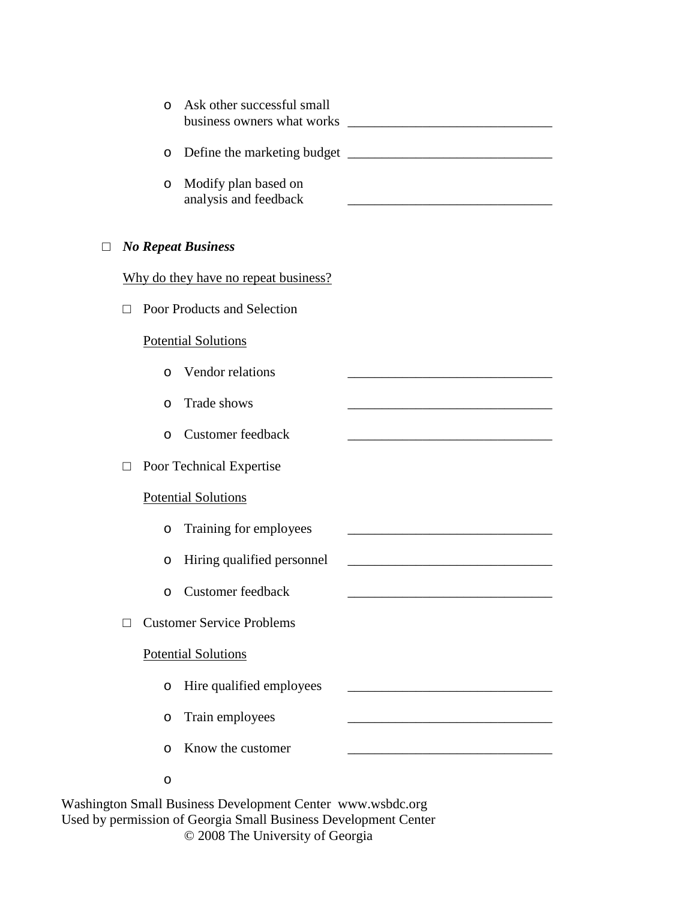|  | $\circ$  | Ask other successful small<br>business owners what works |  |
|--|----------|----------------------------------------------------------|--|
|  | $\circ$  |                                                          |  |
|  | O        | Modify plan based on<br>analysis and feedback            |  |
|  |          | <b>No Repeat Business</b>                                |  |
|  |          | Why do they have no repeat business?                     |  |
|  |          | Poor Products and Selection                              |  |
|  |          | <b>Potential Solutions</b>                               |  |
|  | $\Omega$ | Vendor relations                                         |  |
|  | $\circ$  | Trade shows                                              |  |
|  | $\circ$  | <b>Customer</b> feedback                                 |  |
|  |          | Poor Technical Expertise                                 |  |
|  |          | <b>Potential Solutions</b>                               |  |
|  | O        | Training for employees                                   |  |
|  | O        | Hiring qualified personnel                               |  |
|  | O        | <b>Customer feedback</b>                                 |  |
|  |          | <b>Customer Service Problems</b>                         |  |
|  |          | <b>Potential Solutions</b>                               |  |
|  | $\circ$  | Hire qualified employees                                 |  |
|  | $\circ$  | Train employees                                          |  |
|  | $\circ$  | Know the customer                                        |  |
|  | O        |                                                          |  |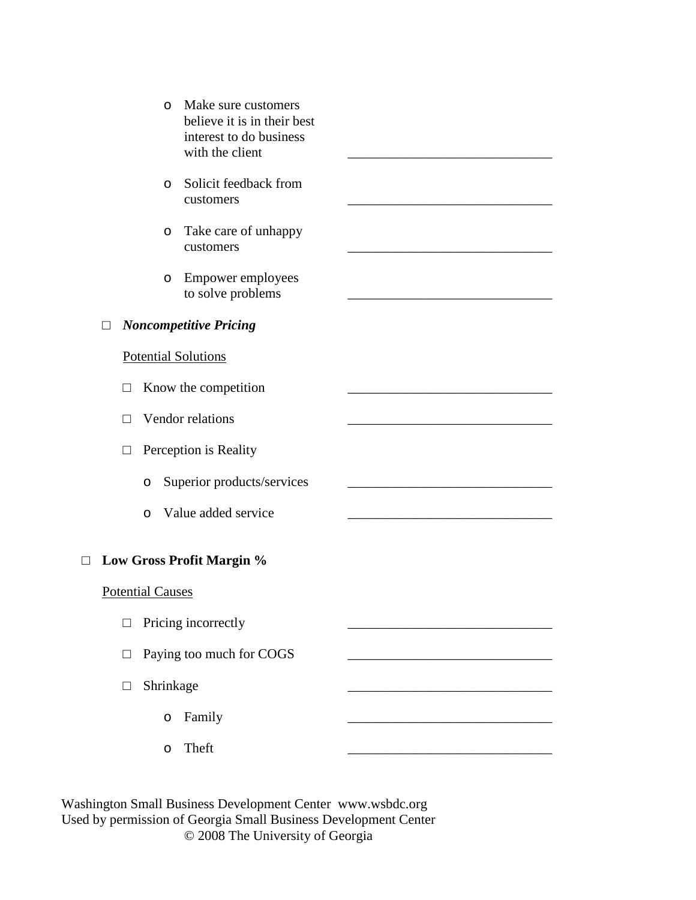|   |        | O                       | Make sure customers<br>believe it is in their best<br>interest to do business<br>with the client |  |
|---|--------|-------------------------|--------------------------------------------------------------------------------------------------|--|
|   |        | $\circ$                 | Solicit feedback from<br>customers                                                               |  |
|   |        | $\circ$                 | Take care of unhappy<br>customers                                                                |  |
|   |        | O                       | <b>Empower employees</b><br>to solve problems                                                    |  |
|   | П      |                         | <b>Noncompetitive Pricing</b>                                                                    |  |
|   |        |                         | <b>Potential Solutions</b>                                                                       |  |
|   | П      |                         | Know the competition                                                                             |  |
|   | П      |                         | Vendor relations                                                                                 |  |
|   | $\Box$ |                         | Perception is Reality                                                                            |  |
|   |        | O                       | Superior products/services                                                                       |  |
|   |        | $\circ$                 | Value added service                                                                              |  |
| □ |        |                         | Low Gross Profit Margin %                                                                        |  |
|   |        | <b>Potential Causes</b> |                                                                                                  |  |
|   | $\Box$ |                         | Pricing incorrectly                                                                              |  |
|   | $\Box$ |                         | Paying too much for COGS                                                                         |  |
|   | $\Box$ | Shrinkage               |                                                                                                  |  |
|   |        | $\circ$                 | Family                                                                                           |  |
|   |        | O                       | Theft                                                                                            |  |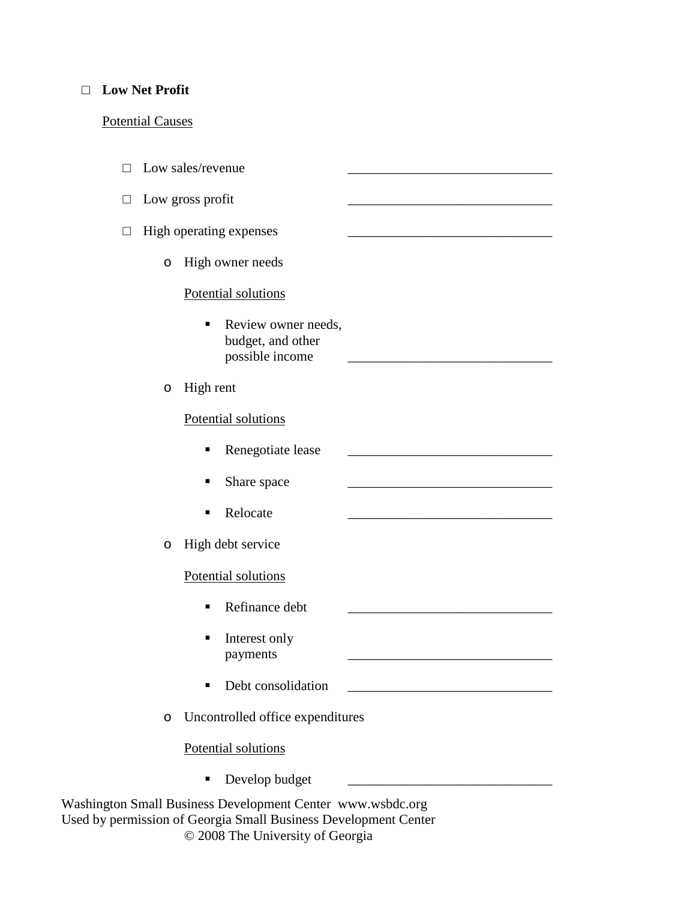#### □ **Low Net Profit**

# Potential Causes

|        |         | Low sales/revenue                                           |  |
|--------|---------|-------------------------------------------------------------|--|
| $\Box$ |         | Low gross profit                                            |  |
|        |         | High operating expenses                                     |  |
|        | $\circ$ | High owner needs                                            |  |
|        |         | Potential solutions                                         |  |
|        |         | Review owner needs,<br>budget, and other<br>possible income |  |
|        | O       | High rent                                                   |  |
|        |         | Potential solutions                                         |  |
|        |         | Renegotiate lease<br>п                                      |  |
|        |         | Share space                                                 |  |
|        |         | Relocate<br>■                                               |  |
|        | O       | High debt service                                           |  |
|        |         | Potential solutions                                         |  |
|        |         | Refinance debt<br>п                                         |  |
|        |         | Interest only<br>payments                                   |  |
|        |         | Debt consolidation                                          |  |
|        | $\circ$ | Uncontrolled office expenditures                            |  |
|        |         | Potential solutions                                         |  |
|        |         | Develop budget<br>п                                         |  |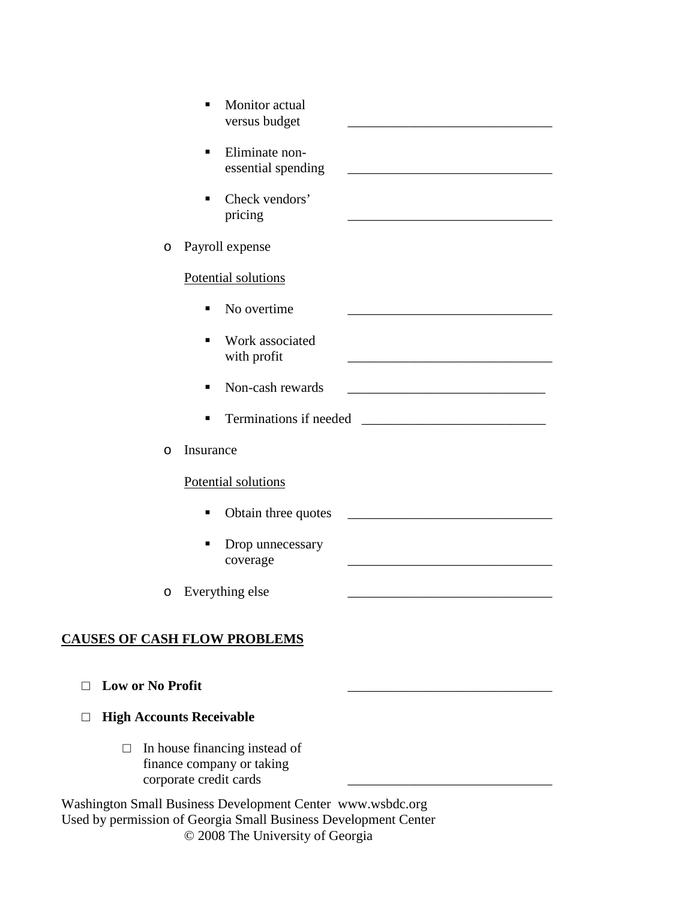|   | Monitor actual<br>versus budget      |                                                                                                                        |
|---|--------------------------------------|------------------------------------------------------------------------------------------------------------------------|
|   | Eliminate non-<br>essential spending |                                                                                                                        |
|   | Check vendors'<br>pricing            |                                                                                                                        |
| O | Payroll expense                      |                                                                                                                        |
|   | Potential solutions                  |                                                                                                                        |
|   | No overtime<br>п                     |                                                                                                                        |
|   | Work associated<br>п<br>with profit  |                                                                                                                        |
|   | Non-cash rewards                     |                                                                                                                        |
|   | Terminations if needed               | <u> 1980 - Jan Barbara Barat, prima popular popular popular popular popular popular popular popular popular popula</u> |
| O | Insurance                            |                                                                                                                        |
|   | Potential solutions                  |                                                                                                                        |
|   | Obtain three quotes<br>п             |                                                                                                                        |
|   | Drop unnecessary<br>coverage         |                                                                                                                        |
| O | Everything else                      |                                                                                                                        |
|   |                                      |                                                                                                                        |

# **CAUSES OF CASH FLOW PROBLEMS**

#### □ Low or No Profit

#### □ **High Accounts Receivable**

□ In house financing instead of finance company or taking corporate credit cards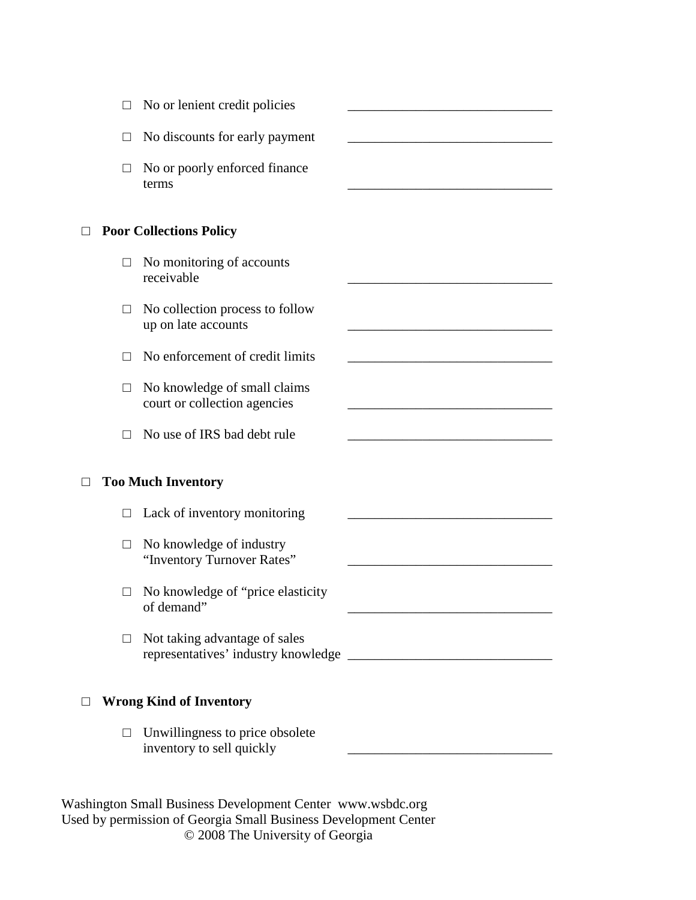| L.      | No or lenient credit policies                                |  |
|---------|--------------------------------------------------------------|--|
| $\Box$  | No discounts for early payment                               |  |
| $\Box$  | No or poorly enforced finance<br>terms                       |  |
|         | <b>Poor Collections Policy</b>                               |  |
| $\Box$  | No monitoring of accounts<br>receivable                      |  |
| П       | No collection process to follow<br>up on late accounts       |  |
| $\Box$  | No enforcement of credit limits                              |  |
| $\perp$ | No knowledge of small claims<br>court or collection agencies |  |
| ш       | No use of IRS bad debt rule                                  |  |
|         | <b>Too Much Inventory</b>                                    |  |
| $\Box$  | Lack of inventory monitoring                                 |  |
| Ш       | No knowledge of industry<br>"Inventory Turnover Rates"       |  |
|         | No knowledge of "price elasticity<br>of demand               |  |
| $\Box$  | Not taking advantage of sales                                |  |
|         | <b>Wrong Kind of Inventory</b>                               |  |

 $\Box$  Unwillingness to price obsolete<br>inventory to sell quickly invertion  $\overline{\phantom{a}}$  , we see that the self-definition  $\overline{\phantom{a}}$ 

| Washington Small Business Development Center www.wsbdc.org      |
|-----------------------------------------------------------------|
| Used by permission of Georgia Small Business Development Center |
| © 2008 The University of Georgia                                |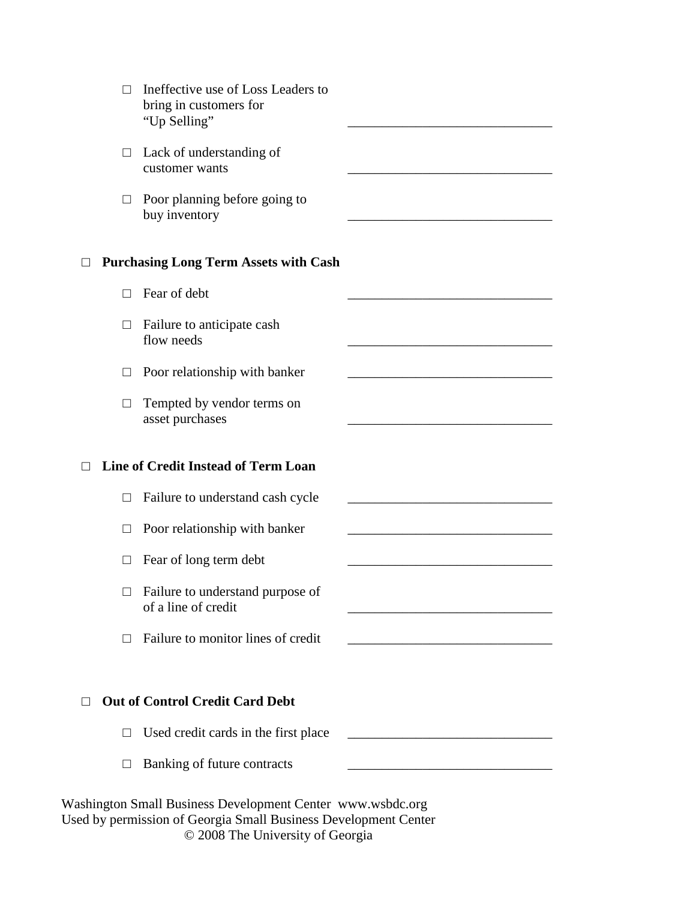|        | Ineffective use of Loss Leaders to<br>bring in customers for<br>"Up Selling" |  |
|--------|------------------------------------------------------------------------------|--|
|        | $\Box$ Lack of understanding of<br>customer wants                            |  |
| $\Box$ | Poor planning before going to<br>buy inventory                               |  |
|        | <b>Purchasing Long Term Assets with Cash</b>                                 |  |
| П      | Fear of debt                                                                 |  |
| $\Box$ | Failure to anticipate cash<br>flow needs                                     |  |
| $\Box$ | Poor relationship with banker                                                |  |
| $\Box$ | Tempted by vendor terms on<br>asset purchases                                |  |
|        | Line of Credit Instead of Term Loan                                          |  |
| $\Box$ | Failure to understand cash cycle                                             |  |
| $\Box$ | Poor relationship with banker                                                |  |
| $\Box$ | Fear of long term debt                                                       |  |
| $\Box$ | Failure to understand purpose of<br>of a line of credit                      |  |
| П      | Failure to monitor lines of credit                                           |  |
|        |                                                                              |  |
|        | <b>Out of Control Credit Card Debt</b>                                       |  |
|        |                                                                              |  |
| $\Box$ | Used credit cards in the first place                                         |  |
| $\Box$ | Banking of future contracts                                                  |  |